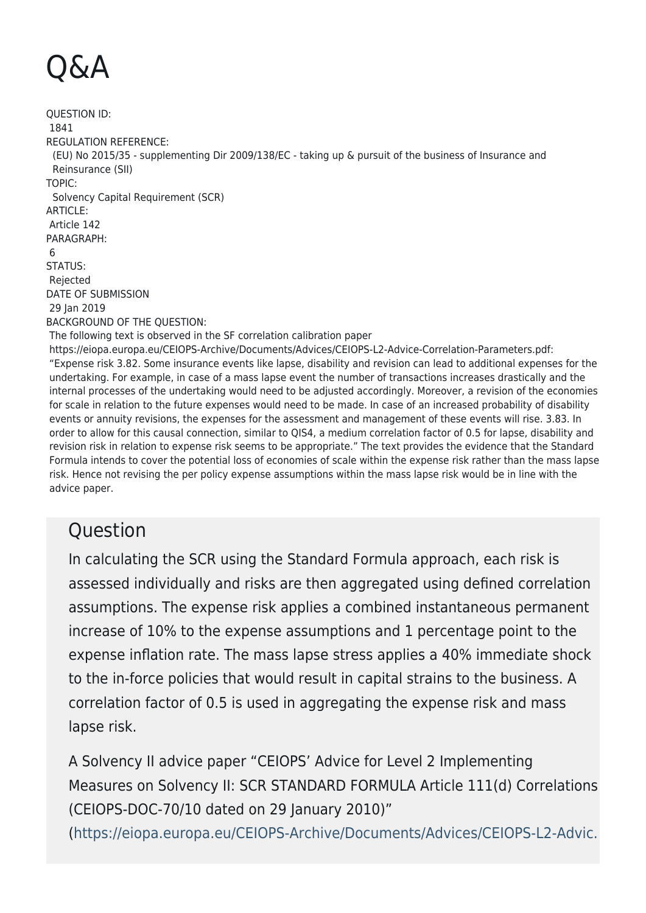## Q&A

QUESTION ID: 1841 REGULATION REFERENCE: (EU) No 2015/35 - supplementing Dir 2009/138/EC - taking up & pursuit of the business of Insurance and Reinsurance (SII) TOPIC: Solvency Capital Requirement (SCR) ARTICLE: Article 142 PARAGRAPH: 6 STATUS: Rejected DATE OF SUBMISSION 29 Jan 2019 BACKGROUND OF THE QUESTION: The following text is observed in the SF correlation calibration paper https://eiopa.europa.eu/CEIOPS-Archive/Documents/Advices/CEIOPS-L2-Advice-Correlation-Parameters.pdf: "Expense risk 3.82. Some insurance events like lapse, disability and revision can lead to additional expenses for the undertaking. For example, in case of a mass lapse event the number of transactions increases drastically and the internal processes of the undertaking would need to be adjusted accordingly. Moreover, a revision of the economies for scale in relation to the future expenses would need to be made. In case of an increased probability of disability events or annuity revisions, the expenses for the assessment and management of these events will rise. 3.83. In order to allow for this causal connection, similar to QIS4, a medium correlation factor of 0.5 for lapse, disability and revision risk in relation to expense risk seems to be appropriate." The text provides the evidence that the Standard Formula intends to cover the potential loss of economies of scale within the expense risk rather than the mass lapse risk. Hence not revising the per policy expense assumptions within the mass lapse risk would be in line with the

## **Ouestion**

advice paper.

In calculating the SCR using the Standard Formula approach, each risk is assessed individually and risks are then aggregated using defined correlation assumptions. The expense risk applies a combined instantaneous permanent increase of 10% to the expense assumptions and 1 percentage point to the expense inflation rate. The mass lapse stress applies a 40% immediate shock to the in-force policies that would result in capital strains to the business. A correlation factor of 0.5 is used in aggregating the expense risk and mass lapse risk.

A Solvency II advice paper "CEIOPS' Advice for Level 2 Implementing Measures on Solvency II: SCR STANDARD FORMULA Article 111(d) Correlations (CEIOPS-DOC-70/10 dated on 29 January 2010)"

([https://eiopa.europa.eu/CEIOPS-Archive/Documents/Advices/CEIOPS-L2-Advic.](https://eiopa.europa.eu/CEIOPS-Archive/Documents/Advices/CEIOPS-L2-Advice-Correlation-Parameters.pdf)